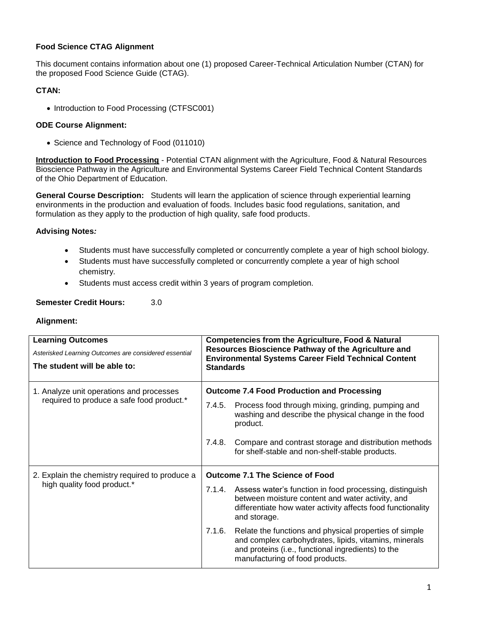### **Food Science CTAG Alignment**

This document contains information about one (1) proposed Career-Technical Articulation Number (CTAN) for the proposed Food Science Guide (CTAG).

### **CTAN:**

• Introduction to Food Processing (CTFSC001)

# **ODE Course Alignment:**

• Science and Technology of Food (011010)

**Introduction to Food Processing** - Potential CTAN alignment with the Agriculture, Food & Natural Resources Bioscience Pathway in the Agriculture and Environmental Systems Career Field Technical Content Standards of the Ohio Department of Education.

**General Course Description:** Students will learn the application of science through experiential learning environments in the production and evaluation of foods. Includes basic food regulations, sanitation, and formulation as they apply to the production of high quality, safe food products.

# **Advising Notes***:*

- Students must have successfully completed or concurrently complete a year of high school biology.
- Students must have successfully completed or concurrently complete a year of high school chemistry.
- Students must access credit within 3 years of program completion.

### **Semester Credit Hours:** 3.0

### **Alignment:**

| <b>Learning Outcomes</b><br>Asterisked Learning Outcomes are considered essential<br>The student will be able to: | <b>Competencies from the Agriculture, Food &amp; Natural</b><br>Resources Bioscience Pathway of the Agriculture and<br><b>Environmental Systems Career Field Technical Content</b><br><b>Standards</b>             |  |  |
|-------------------------------------------------------------------------------------------------------------------|--------------------------------------------------------------------------------------------------------------------------------------------------------------------------------------------------------------------|--|--|
| 1. Analyze unit operations and processes<br>required to produce a safe food product.*                             | <b>Outcome 7.4 Food Production and Processing</b>                                                                                                                                                                  |  |  |
|                                                                                                                   | Process food through mixing, grinding, pumping and<br>7.4.5.<br>washing and describe the physical change in the food<br>product.                                                                                   |  |  |
|                                                                                                                   | 7.4.8.<br>Compare and contrast storage and distribution methods<br>for shelf-stable and non-shelf-stable products.                                                                                                 |  |  |
| 2. Explain the chemistry required to produce a<br>high quality food product.*                                     | <b>Outcome 7.1 The Science of Food</b>                                                                                                                                                                             |  |  |
|                                                                                                                   | 7.1.4. Assess water's function in food processing, distinguish<br>between moisture content and water activity, and<br>differentiate how water activity affects food functionality<br>and storage.                  |  |  |
|                                                                                                                   | 7.1.6.<br>Relate the functions and physical properties of simple<br>and complex carbohydrates, lipids, vitamins, minerals<br>and proteins (i.e., functional ingredients) to the<br>manufacturing of food products. |  |  |